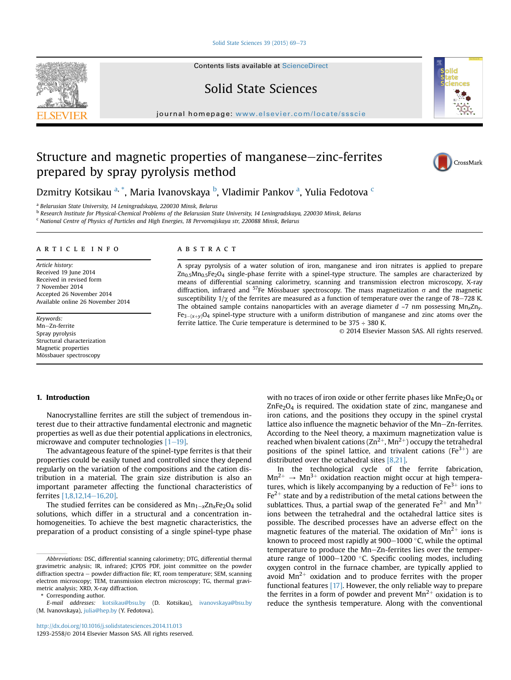Solid State Sciences 39 (2015)  $69-73$  $69-73$ 

Contents lists available at ScienceDirect

Solid State Sciences

journal homepage: [www.elsevier.com/locate/ssscie](http://www.elsevier.com/locate/ssscie)

# Structure and magnetic properties of manganese–zinc-ferrites prepared by spray pyrolysis method



Dzmitry Kotsikau <sup>a, \*</sup>, Maria Ivanovskaya <sup>b</sup>, Vladimir Pankov <sup>a</sup>, Yulia Fedotova <sup>c</sup>

<sup>a</sup> Belarusian State University, 14 Leningradskaya, 220030 Minsk, Belarus

<sup>b</sup> Research Institute for Physical-Chemical Problems of the Belarusian State University, 14 Leningradskaya, 220030 Minsk, Belarus

<sup>c</sup> National Centre of Physics of Particles and High Energies, 18 Pervomajskaya str, 220088 Minsk, Belarus

#### article info

Article history: Received 19 June 2014 Received in revised form 7 November 2014 Accepted 26 November 2014 Available online 26 November 2014

Keywords: Mn-Zn-ferrite Spray pyrolysis Structural characterization Magnetic properties Mössbauer spectroscopy

#### **ABSTRACT**

A spray pyrolysis of a water solution of iron, manganese and iron nitrates is applied to prepare  $Zn_{0.5}Mn_{0.5}Fe<sub>2</sub>O<sub>4</sub>$  single-phase ferrite with a spinel-type structure. The samples are characterized by means of differential scanning calorimetry, scanning and transmission electron microscopy, X-ray diffraction, infrared and <sup>57</sup>Fe Mössbauer spectroscopy. The mass magnetization  $\sigma$  and the magnetic susceptibility  $1/\chi$  of the ferrites are measured as a function of temperature over the range of 78–728 K. The obtained sample contains nanoparticles with an average diameter  $d \sim 7$  nm possessing Mn<sub>x</sub>Zn<sub>y</sub>  $Fe_{3-(x+v)}O_4$  spinel-type structure with a uniform distribution of manganese and zinc atoms over the ferrite lattice. The Curie temperature is determined to be  $375 \div 380$  K.

© 2014 Elsevier Masson SAS. All rights reserved.

## 1. Introduction

Nanocrystalline ferrites are still the subject of tremendous interest due to their attractive fundamental electronic and magnetic properties as well as due their potential applications in electronics, microwave and computer technologies  $[1-19]$  $[1-19]$  $[1-19]$ .

The advantageous feature of the spinel-type ferrites is that their properties could be easily tuned and controlled since they depend regularly on the variation of the compositions and the cation distribution in a material. The grain size distribution is also an important parameter affecting the functional characteristics of ferrites [\[1,8,12,14](#page-4-0)-[16,20\]](#page-4-0).

The studied ferrites can be considered as  $Mn_{1-x}Zn_xFe_2O_4$  solid solutions, which differ in a structural and a concentration inhomogeneities. To achieve the best magnetic characteristics, the preparation of a product consisting of a single spinel-type phase

Corresponding author.

with no traces of iron oxide or other ferrite phases like MnFe<sub>2</sub>O<sub>4</sub> or  $ZnFe<sub>2</sub>O<sub>4</sub>$  is required. The oxidation state of zinc, manganese and iron cations, and the positions they occupy in the spinel crystal lattice also influence the magnetic behavior of the Mn-Zn-ferrites. According to the Neel theory, a maximum magnetization value is reached when bivalent cations  $(2n^{2+}, Mn^{2+})$  occupy the tetrahedral positions of the spinel lattice, and trivalent cations ( $Fe<sup>3+</sup>$ ) are distributed over the octahedral sites [\[8,21\].](#page-4-0)

In the technological cycle of the ferrite fabrication,  $Mn^{2+} \rightarrow Mn^{3+}$  oxidation reaction might occur at high temperatures, which is likely accompanying by a reduction of  $Fe<sup>3+</sup>$  ions to  $Fe<sup>2+</sup>$  state and by a redistribution of the metal cations between the sublattices. Thus, a partial swap of the generated  $Fe^{2+}$  and  $Mn^{3+}$ ions between the tetrahedral and the octahedral lattice sites is possible. The described processes have an adverse effect on the magnetic features of the material. The oxidation of  $Mn^{2+}$  ions is known to proceed most rapidly at  $900-1000$  °C, while the optimal temperature to produce the Mn-Zn-ferrites lies over the temperature range of  $1000-1200$  °C. Specific cooling modes, including oxygen control in the furnace chamber, are typically applied to avoid  $Mn^{2+}$  oxidation and to produce ferrites with the proper functional features [\[17\]](#page-4-0). However, the only reliable way to prepare the ferrites in a form of powder and prevent  $Mn^{2+}$  oxidation is to reduce the synthesis temperature. Along with the conventional



Abbreviations: DSC, differential scanning calorimetry; DTG, differential thermal gravimetric analysis; IR, infrared; JCPDS PDF, joint committee on the powder diffraction spectra - powder diffraction file; RT, room temperature; SEM, scanning electron microscopy; TEM, transmission electron microscopy; TG, thermal gravimetric analysis; XRD, X-ray diffraction.

E-mail addresses: [kotsikau@bsu.by](mailto:kotsikau@bsu.by) (D. Kotsikau), [ivanovskaya@bsu.by](mailto:ivanovskaya@bsu.by) (M. Ivanovskaya), [julia@hep.by](mailto:julia@hep.by) (Y. Fedotova).

<http://dx.doi.org/10.1016/j.solidstatesciences.2014.11.013>

<sup>1293-2558/</sup>© 2014 Elsevier Masson SAS. All rights reserved.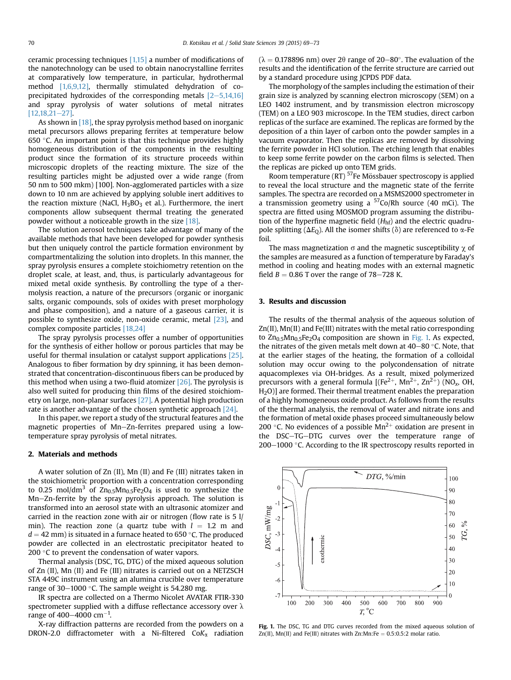ceramic processing techniques [\[1,15\]](#page-4-0) a number of modifications of the nanotechnology can be used to obtain nanocrystalline ferrites at comparatively low temperature, in particular, hydrothermal method [\[1,6,9,12\]](#page-4-0), thermally stimulated dehydration of coprecipitated hydroxides of the corresponding metals  $[2-5,14,16]$  $[2-5,14,16]$  $[2-5,14,16]$ and spray pyrolysis of water solutions of metal nitrates  $[12,18,21-27]$  $[12,18,21-27]$  $[12,18,21-27]$ .

As shown in [\[18\],](#page-4-0) the spray pyrolysis method based on inorganic metal precursors allows preparing ferrites at temperature below 650 $\degree$ C. An important point is that this technique provides highly homogeneous distribution of the components in the resulting product since the formation of its structure proceeds within microscopic droplets of the reacting mixture. The size of the resulting particles might be adjusted over a wide range (from 50 nm to 500 mkm) [100]. Non-agglomerated particles with a size down to 10 nm are achieved by applying soluble inert additives to the reaction mixture (NaCl,  $H_3BO_3$  et al.). Furthermore, the inert components allow subsequent thermal treating the generated powder without a noticeable growth in the size [\[18\]](#page-4-0).

The solution aerosol techniques take advantage of many of the available methods that have been developed for powder synthesis but then uniquely control the particle formation environment by compartmentalizing the solution into droplets. In this manner, the spray pyrolysis ensures a complete stoichiometry retention on the droplet scale, at least, and, thus, is particularly advantageous for mixed metal oxide synthesis. By controlling the type of a thermolysis reaction, a nature of the precursors (organic or inorganic salts, organic compounds, sols of oxides with preset morphology and phase composition), and a nature of a gaseous carrier, it is possible to synthesize oxide, non-oxide ceramic, metal [\[23\]](#page-4-0), and complex composite particles [\[18,24\]](#page-4-0)

The spray pyrolysis processes offer a number of opportunities for the synthesis of either hollow or porous particles that may be useful for thermal insulation or catalyst support applications [\[25\].](#page-4-0) Analogous to fiber formation by dry spinning, it has been demonstrated that concentration-discontinuous fibers can be produced by this method when using a two-fluid atomizer [\[26\].](#page-4-0) The pyrolysis is also well suited for producing thin films of the desired stoichiometry on large, non-planar surfaces [\[27\]](#page-4-0). A potential high production rate is another advantage of the chosen synthetic approach [\[24\]](#page-4-0).

In this paper, we report a study of the structural features and the magnetic properties of Mn-Zn-ferrites prepared using a lowtemperature spray pyrolysis of metal nitrates.

### 2. Materials and methods

A water solution of Zn (II), Mn (II) and Fe (III) nitrates taken in the stoichiometric proportion with a concentration corresponding to 0.25 mol/dm<sup>3</sup> of  $Zn_{0.5}Mn_{0.5}Fe<sub>2</sub>O<sub>4</sub>$  is used to synthesize the Mn-Zn-ferrite by the spray pyrolysis approach. The solution is transformed into an aerosol state with an ultrasonic atomizer and carried in the reaction zone with air or nitrogen (flow rate is 5 l/ min). The reaction zone (a quartz tube with  $l = 1.2$  m and  $d = 42$  mm) is situated in a furnace heated to 650 °C. The produced powder are collected in an electrostatic precipitator heated to 200  $\degree$ C to prevent the condensation of water vapors.

Thermal analysis (DSC, TG, DTG) of the mixed aqueous solution of Zn (II), Mn (II) and Fe (III) nitrates is carried out on a NETZSCH STA 449C instrument using an alumina crucible over temperature range of 30–1000 °C. The sample weight is 54.280 mg.

IR spectra are collected on a Thermo Nicolet AVATAR FTIR-330 spectrometer supplied with a diffuse reflectance accessory over  $\lambda$ range of 400–4000 cm $^{-1}$ .

X-ray diffraction patterns are recorded from the powders on a DRON-2.0 diffractometer with a Ni-filtered  $CoK_{\alpha}$  radiation ( $\lambda = 0.178896$  nm) over 2 $\theta$  range of 20–80°. The evaluation of the results and the identification of the ferrite structure are carried out by a standard procedure using JCPDS PDF data.

The morphology of the samples including the estimation of their grain size is analyzed by scanning electron microscopy (SEM) on a LEO 1402 instrument, and by transmission electron microscopy (TEM) on a LEO 903 microscope. In the TEM studies, direct carbon replicas of the surface are examined. The replicas are formed by the deposition of a thin layer of carbon onto the powder samples in a vacuum evaporator. Then the replicas are removed by dissolving the ferrite powder in HCl solution. The etching length that enables to keep some ferrite powder on the carbon films is selected. Then the replicas are picked up onto TEM grids.

Room temperature (RT)  $57$ Fe Mössbauer spectroscopy is applied to reveal the local structure and the magnetic state of the ferrite samples. The spectra are recorded on a MSMS2000 spectrometer in a transmission geometry using a  $57C<sub>O</sub>/Rh$  source (40 mCi). The spectra are fitted using MOSMOD program assuming the distribution of the hyperfine magnetic field  $(H<sub>hf</sub>)$  and the electric quadrupole splitting ( $\Delta E_{\text{O}}$ ). All the isomer shifts ( $\delta$ ) are referenced to  $\alpha$ -Fe foil.

The mass magnetization  $\sigma$  and the magnetic susceptibility  $\gamma$  of the samples are measured as a function of temperature by Faraday's method in cooling and heating modes with an external magnetic field  $B = 0.86$  T over the range of 78–728 K.

#### 3. Results and discussion

The results of the thermal analysis of the aqueous solution of Zn(II), Mn(II) and Fe(III) nitrates with the metal ratio corresponding to  $Zn_{0.5}Mn_{0.5}Fe<sub>2</sub>O<sub>4</sub>$  composition are shown in Fig. 1. As expected, the nitrates of the given metals melt down at  $40-80$  °C. Note, that at the earlier stages of the heating, the formation of a colloidal solution may occur owing to the polycondensation of nitrate aquacomplexes via OH-bridges. As a result, mixed polymerized precursors with a general formula  $[(Fe^{2+}, Mn^{2+}, Zn^{2+})$  (NO<sub>x</sub>, OH, H2O)] are formed. Their thermal treatment enables the preparation of a highly homogeneous oxide product. As follows from the results of the thermal analysis, the removal of water and nitrate ions and the formation of metal oxide phases proceed simultaneously below 200 °C. No evidences of a possible  $Mn^{2+}$  oxidation are present in the DSC-TG-DTG curves over the temperature range of 200-1000 $\degree$ C. According to the IR spectroscopy results reported in



Fig. 1. The DSC, TG and DTG curves recorded from the mixed aqueous solution of Zn(II), Mn(II) and Fe(III) nitrates with Zn:Mn:Fe =  $0.5:0.5:2$  molar ratio.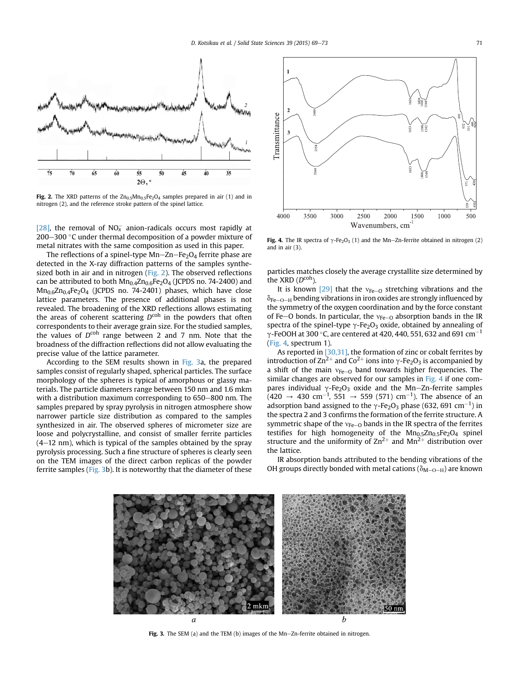

Fig. 2. The XRD patterns of the  $\text{Zn}_{0.5}\text{Mn}_{0.5}\text{Fe}_2\text{O}_4$  samples prepared in air (1) and in nitrogen (2), and the reference stroke pattern of the spinel lattice.

[\[28\],](#page-4-0) the removal of  $NO<sub>x</sub>^-$  anion-radicals occurs most rapidly at 200–300  $\degree$ C under thermal decomposition of a powder mixture of metal nitrates with the same composition as used in this paper.

The reflections of a spinel-type  $Mn-Zn-Fe<sub>2</sub>O<sub>4</sub>$  ferrite phase are detected in the X-ray diffraction patterns of the samples synthesized both in air and in nitrogen (Fig. 2). The observed reflections can be attributed to both  $Mn_{0.4}Zn_{0.6}Fe<sub>2</sub>O<sub>4</sub>$  (JCPDS no. 74-2400) and  $Mn<sub>0.6</sub>Zn<sub>0.4</sub>Fe<sub>2</sub>O<sub>4</sub>$  (JCPDS no. 74-2401) phases, which have close lattice parameters. The presence of additional phases is not revealed. The broadening of the XRD reflections allows estimating the areas of coherent scattering  $D^{coh}$  in the powders that often correspondents to their average grain size. For the studied samples, the values of  $D^{\text{coh}}$  range between 2 and 7 nm. Note that the broadness of the diffraction reflections did not allow evaluating the precise value of the lattice parameter.

According to the SEM results shown in Fig. 3a, the prepared samples consist of regularly shaped, spherical particles. The surface morphology of the spheres is typical of amorphous or glassy materials. The particle diameters range between 150 nm and 1.6 mkm with a distribution maximum corresponding to  $650-800$  nm. The samples prepared by spray pyrolysis in nitrogen atmosphere show narrower particle size distribution as compared to the samples synthesized in air. The observed spheres of micrometer size are loose and polycrystalline, and consist of smaller ferrite particles  $(4-12 \text{ nm})$ , which is typical of the samples obtained by the spray pyrolysis processing. Such a fine structure of spheres is clearly seen on the TEM images of the direct carbon replicas of the powder ferrite samples (Fig. 3b). It is noteworthy that the diameter of these



Fig. 4. The IR spectra of  $\gamma$ -Fe<sub>2</sub>O<sub>3</sub> (1) and the Mn–Zn-ferrite obtained in nitrogen (2) and in air (3).

particles matches closely the average crystallite size determined by the XRD  $(D^{coh})$ .

It is known [\[29\]](#page-4-0) that the  $v_{Fe-O}$  stretching vibrations and the  $\delta_{\text{Fe}-\text{O}-\text{H}}$  bending vibrations in iron oxides are strongly influenced by the symmetry of the oxygen coordination and by the force constant of Fe-O bonds. In particular, the  $v_{Fe-O}$  absorption bands in the IR spectra of the spinel-type  $\gamma$ -Fe<sub>2</sub>O<sub>3</sub> oxide, obtained by annealing of  $\gamma$ -FeOOH at 300 °C, are centered at 420, 440, 551, 632 and 691 cm<sup>-1</sup> (Fig. 4, spectrum 1).

As reported in [\[30,31\]](#page-4-0), the formation of zinc or cobalt ferrites by introduction of  $\text{Zn}^{2+}$  and  $\text{Co}^{2+}$  ions into  $\gamma$ -Fe<sub>2</sub>O<sub>3</sub> is accompanied by a shift of the main  $v_{Fe-O}$  band towards higher frequencies. The similar changes are observed for our samples in Fig. 4 if one compares individual  $\gamma$ -Fe<sub>2</sub>O<sub>3</sub> oxide and the Mn-Zn-ferrite samples  $(420 \rightarrow 430 \text{ cm}^{-1}, 551 \rightarrow 559 \text{ (571) cm}^{-1})$ . The absence of an adsorption band assigned to the  $\gamma$ -Fe<sub>2</sub>O<sub>3</sub> phase (632, 691 cm<sup>-1</sup>) in the spectra 2 and 3 confirms the formation of the ferrite structure. A symmetric shape of the  $v_{Fe-O}$  bands in the IR spectra of the ferrites testifies for high homogeneity of the  $Mn_{0.5}Zn_{0.5}Fe<sub>2</sub>O<sub>4</sub>$  spinel structure and the uniformity of  $\text{Zn}^{2+}$  and  $\text{Mn}^{2+}$  distribution over the lattice.

IR absorption bands attributed to the bending vibrations of the OH groups directly bonded with metal cations ( $\delta_{\text{M}-\text{O}-\text{H}}$ ) are known



Fig. 3. The SEM (a) and the TEM (b) images of the Mn-Zn-ferrite obtained in nitrogen.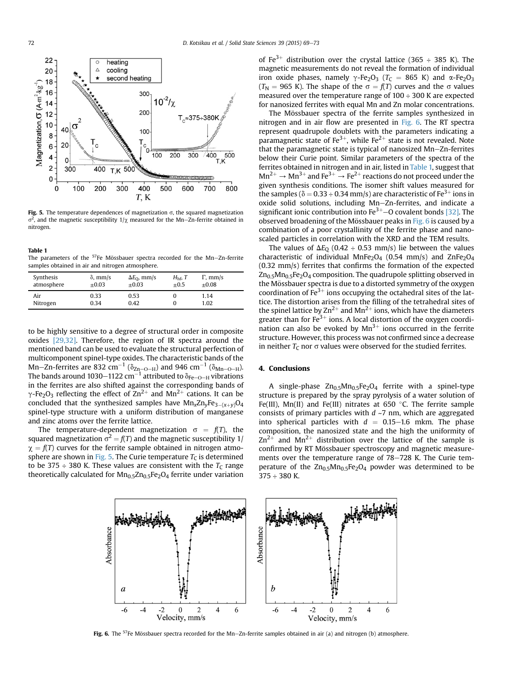

Fig. 5. The temperature dependences of magnetization  $\sigma$ , the squared magnetization  $\sigma^2$ , and the magnetic susceptibility  $1/\chi$  measured for the Mn-Zn-ferrite obtained in nitrogen.

#### Table 1

The parameters of the  $57$ Fe Mössbauer spectra recorded for the Mn-Zn-ferrite samples obtained in air and nitrogen atmosphere.

| Synthesis       | $\delta$ , mm/s | $\Delta E_{\rm O}$ , mm/s | $H_{\rm hf}$ , T | $\Gamma$ , mm/s |  |
|-----------------|-----------------|---------------------------|------------------|-----------------|--|
| atmosphere      | $+0.03$         | $+0.03$                   | $+0.5$           | $+0.08$         |  |
| Air<br>Nitrogen | 0.33<br>0.34    | 0.53<br>0.42              |                  | 1.14<br>1.02    |  |

to be highly sensitive to a degree of structural order in composite oxides [\[29,32\]](#page-4-0). Therefore, the region of IR spectra around the mentioned band can be used to evaluate the structural perfection of multicomponent spinel-type oxides. The characteristic bands of the Mn–Zn-ferrites are 832 cm $^{-1}$  ( $\delta_{\rm Zn-O-H}$ ) and 946 cm $^{-1}$  ( $\delta_{\rm Mn-O-H}$ ). The bands around 1030 $-$ 1122 cm $^{-1}$  attributed to  $\delta_{\mathrm{Fe-O-H}}$  vibrations in the ferrites are also shifted against the corresponding bands of  $\gamma$ -Fe<sub>2</sub>O<sub>3</sub> reflecting the effect of Zn<sup>2+</sup> and Mn<sup>2+</sup> cations. It can be concluded that the synthesized samples have  $Mn_xZn_vFe_{3-(x+v)}O_4$ spinel-type structure with a uniform distribution of manganese and zinc atoms over the ferrite lattice.

The temperature-dependent magnetization  $\sigma = f(T)$ , the squared magnetization  $\sigma^2 = f(T)$  and the magnetic susceptibility 1/  $\chi = f(T)$  curves for the ferrite sample obtained in nitrogen atmosphere are shown in Fig. 5. The Curie temperature  $T_C$  is determined to be 375  $\div$  380 K. These values are consistent with the  $T_c$  range theoretically calculated for  $Mn<sub>0.5</sub>Zn<sub>0.5</sub>Fe<sub>2</sub>O<sub>4</sub>$  ferrite under variation of Fe<sup>3+</sup> distribution over the crystal lattice (365 ÷ 385 K). The magnetic measurements do not reveal the formation of individual iron oxide phases, namely  $\gamma$ -Fe<sub>2</sub>O<sub>3</sub> (T<sub>C</sub> = 865 K) and  $\alpha$ -Fe<sub>2</sub>O<sub>3</sub> ( $T_{\rm N}$  = 965 K). The shape of the  $\sigma = f(T)$  curves and the  $\sigma$  values measured over the temperature range of 100 ÷ 300 K are expected for nanosized ferrites with equal Mn and Zn molar concentrations.

The Mössbauer spectra of the ferrite samples synthesized in nitrogen and in air flow are presented in Fig. 6. The RT spectra represent quadrupole doublets with the parameters indicating a paramagnetic state of Fe<sup>3+</sup>, while Fe<sup>2+</sup> state is not revealed. Note that the paramagnetic state is typical of nanosized  $Mn-Zn$ -ferrites below their Curie point. Similar parameters of the spectra of the ferrites obtained in nitrogen and in air, listed in Table 1, suggest that  $Mn^{2+} \rightarrow Mn^{3+}$  and Fe<sup>3+</sup>  $\rightarrow$  Fe<sup>2+</sup> reactions do not proceed under the given synthesis conditions. The isomer shift values measured for the samples ( $\delta$  = 0.33 ÷ 0.34 mm/s) are characteristic of Fe<sup>3+</sup> ions in oxide solid solutions, including Mn-Zn-ferrites, and indicate a significant ionic contribution into  $Fe^{3+}$  – O covalent bonds [\[32\].](#page-4-0) The observed broadening of the Mössbauer peaks in Fig. 6 is caused by a combination of a poor crystallinity of the ferrite phase and nanoscaled particles in correlation with the XRD and the TEM results.

The values of  $\Delta E_0$  (0.42 ÷ 0.53 mm/s) lie between the values characteristic of individual MnFe<sub>2</sub>O<sub>4</sub> (0.54 mm/s) and ZnFe<sub>2</sub>O<sub>4</sub> (0.32 mm/s) ferrites that confirms the formation of the expected  $Zn_{0.5}Mn_{0.5}Fe<sub>2</sub>O<sub>4</sub>$  composition. The quadrupole splitting observed in the Mössbauer spectra is due to a distorted symmetry of the oxygen coordination of  $Fe^{3+}$  ions occupying the octahedral sites of the lattice. The distortion arises from the filling of the tetrahedral sites of the spinel lattice by  $\text{Zn}^{2+}$  and Mn<sup>2+</sup> ions, which have the diameters greater than for Fe<sup>3+</sup> ions. A local distortion of the oxygen coordination can also be evoked by  $Mn^{3+}$  ions occurred in the ferrite structure. However, this process was not confirmed since a decrease in neither  $T_c$  nor  $\sigma$  values were observed for the studied ferrites.

### 4. Conclusions

A single-phase  $Zn_{0.5}Mn_{0.5}Fe<sub>2</sub>O<sub>4</sub>$  ferrite with a spinel-type structure is prepared by the spray pyrolysis of a water solution of Fe(III), Mn(II) and Fe(III) nitrates at 650 °C. The ferrite sample consists of primary particles with  $d \sim$ 7 nm, which are aggregated into spherical particles with  $d = 0.15-1.6$  mkm. The phase composition, the nanosized state and the high the uniformity of  $\text{Zn}^{2+}$  and Mn<sup>2+</sup> distribution over the lattice of the sample is confirmed by RT Mössbauer spectroscopy and magnetic measurements over the temperature range of 78–728 K. The Curie temperature of the  $Zn_{0.5}Mn_{0.5}Fe<sub>2</sub>O<sub>4</sub>$  powder was determined to be 375 ÷ 380 K.



Fig. 6. The  $57$ Fe Mössbauer spectra recorded for the Mn-Zn-ferrite samples obtained in air (a) and nitrogen (b) atmosphere.